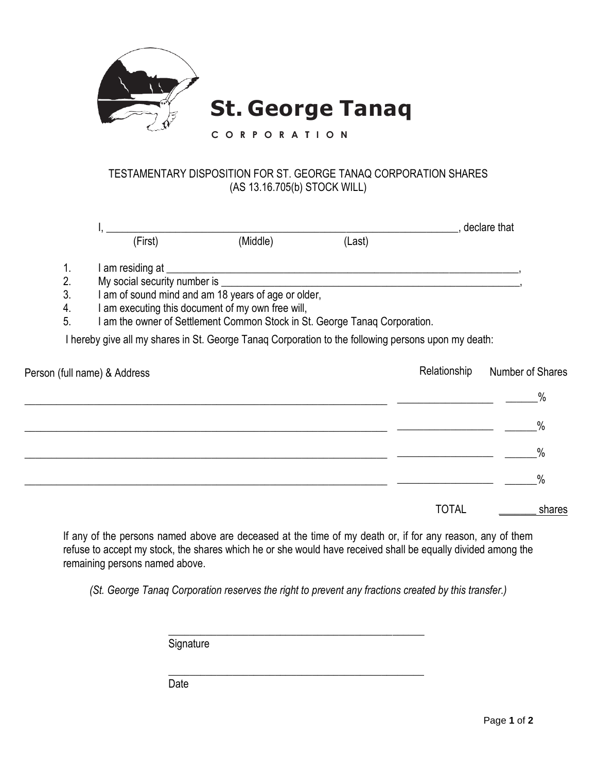

## TESTAMENTARY DISPOSITION FOR ST. GEORGE TANAQ CORPORATION SHARES (AS 13.16.705(b) STOCK WILL)

|    |                                                                                                     |                                                                          |                                                                                                                      |              | , declare that   |
|----|-----------------------------------------------------------------------------------------------------|--------------------------------------------------------------------------|----------------------------------------------------------------------------------------------------------------------|--------------|------------------|
|    | (First)                                                                                             | (Middle)                                                                 | (Last)                                                                                                               |              |                  |
| 1. | I am residing at _                                                                                  |                                                                          |                                                                                                                      |              |                  |
| 2. | My social security number is ____                                                                   |                                                                          | <u> Alexandria de la contrada de la contrada de la contrada de la contrada de la contrada de la contrada de la c</u> |              |                  |
| 3. |                                                                                                     | I am of sound mind and am 18 years of age or older,                      |                                                                                                                      |              |                  |
| 4. |                                                                                                     | I am executing this document of my own free will,                        |                                                                                                                      |              |                  |
| 5. |                                                                                                     | am the owner of Settlement Common Stock in St. George Tanaq Corporation. |                                                                                                                      |              |                  |
|    | I hereby give all my shares in St. George Tanaq Corporation to the following persons upon my death: |                                                                          |                                                                                                                      |              |                  |
|    | Person (full name) & Address                                                                        |                                                                          |                                                                                                                      | Relationship | Number of Shares |
|    |                                                                                                     |                                                                          |                                                                                                                      |              |                  |
|    |                                                                                                     |                                                                          |                                                                                                                      |              | $\%$             |
|    |                                                                                                     |                                                                          |                                                                                                                      |              | $\frac{0}{0}$    |
|    |                                                                                                     |                                                                          |                                                                                                                      |              |                  |

TOTAL \_\_\_\_\_\_\_ shares

 $\overline{\phantom{a}}$  , where  $\overline{\phantom{a}}$ 

 $\frac{0}{0}$ 

If any of the persons named above are deceased at the time of my death or, if for any reason, any of them refuse to accept my stock, the shares which he or she would have received shall be equally divided among the remaining persons named above.

*(St. George Tanaq Corporation reserves the right to prevent any fractions created by this transfer.)*

\_\_\_\_\_\_\_\_\_\_\_\_\_\_\_\_\_\_\_\_\_\_\_\_\_\_\_\_\_\_\_\_\_\_\_\_\_\_\_\_\_\_\_\_\_\_\_\_ **Signature** 

\_\_\_\_\_\_\_\_\_\_\_\_\_\_\_\_\_\_\_\_\_\_\_\_\_\_\_\_\_\_\_\_\_\_\_\_\_\_\_\_\_\_\_\_\_\_\_\_\_\_\_\_\_\_\_\_\_\_\_\_\_\_\_\_\_\_\_\_

\_\_\_\_\_\_\_\_\_\_\_\_\_\_\_\_\_\_\_\_\_\_\_\_\_\_\_\_\_\_\_\_\_\_\_\_\_\_\_\_\_\_\_\_\_\_\_\_ Date